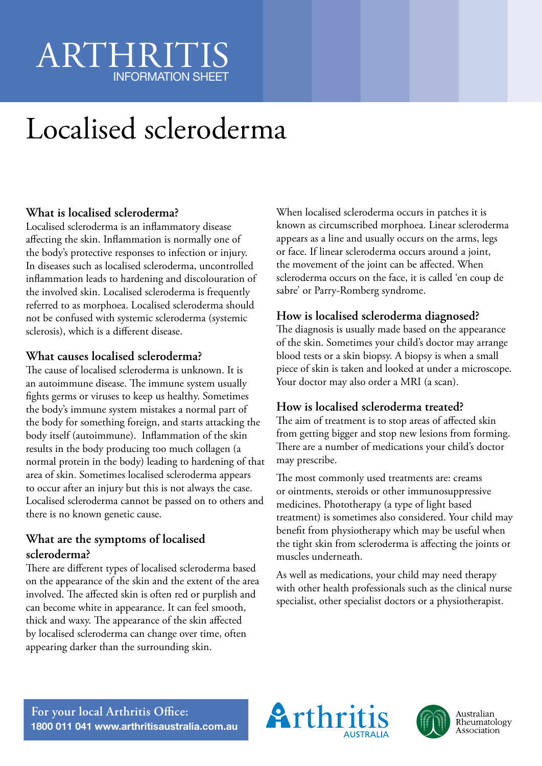## ARTHRITIS INFORMATION SHEET

# Localised scleroderma

### **What is localised scleroderma?**

Localised scleroderma is an inflammatory disease affecting the skin. Inflammation is normally one of the body's protective responses to infection or injury. In diseases such as localised scleroderma, uncontrolled inflammation leads to hardening and discolouration of the involved skin. Localised scleroderma is frequently referred to as morphoea. Localised scleroderma should not be confused with systemic scleroderma (systemic sclerosis), which is a different disease.

### **What causes localised scleroderma?**

The cause of localised scleroderma is unknown. It is an autoimmune disease. The immune system usually fights germs or viruses to keep us healthy. Sometimes the body's immune system mistakes a normal part of the body for something foreign, and starts attacking the body itself (autoimmune). Inflammation of the skin results in the body producing too much collagen (a normal protein in the body) leading to hardening of that area of skin. Sometimes localised scleroderma appears to occur after an injury but this is not always the case. Localised scleroderma cannot be passed on to others and there is no known genetic cause.

### **What are the symptoms of localised scleroderma?**

There are different types of localised scleroderma based on the appearance of the skin and the extent of the area involved. The affected skin is often red or purplish and can become white in appearance. It can feel smooth, thick and waxy. The appearance of the skin affected by localised scleroderma can change over time, often appearing darker than the surrounding skin.

When localised scleroderma occurs in patches it is known as circumscribed morphoea. Linear scleroderma appears as a line and usually occurs on the arms, legs or face. If linear scleroderma occurs around a joint, the movement of the joint can be affected. When scleroderma occurs on the face, it is called 'en coup de sabre' or Parry-Romberg syndrome.

### **How is localised scleroderma diagnosed?**

The diagnosis is usually made based on the appearance of the skin. Sometimes your child's doctor may arrange blood tests or a skin biopsy. A biopsy is when a small piece of skin is taken and looked at under a microscope. Your doctor may also order a MRI (a scan).

### **How is localised scleroderma treated?**

The aim of treatment is to stop areas of affected skin from getting bigger and stop new lesions from forming. There are a number of medications your child's doctor may prescribe.

The most commonly used treatments are: creams or ointments, steroids or other immunosuppressive medicines. Phototherapy (a type of light based treatment) is sometimes also considered. Your child may benefit from physiotherapy which may be useful when the tight skin from scleroderma is affecting the joints or muscles underneath.

As well as medications, your child may need therapy with other health professionals such as the clinical nurse specialist, other specialist doctors or a physiotherapist.